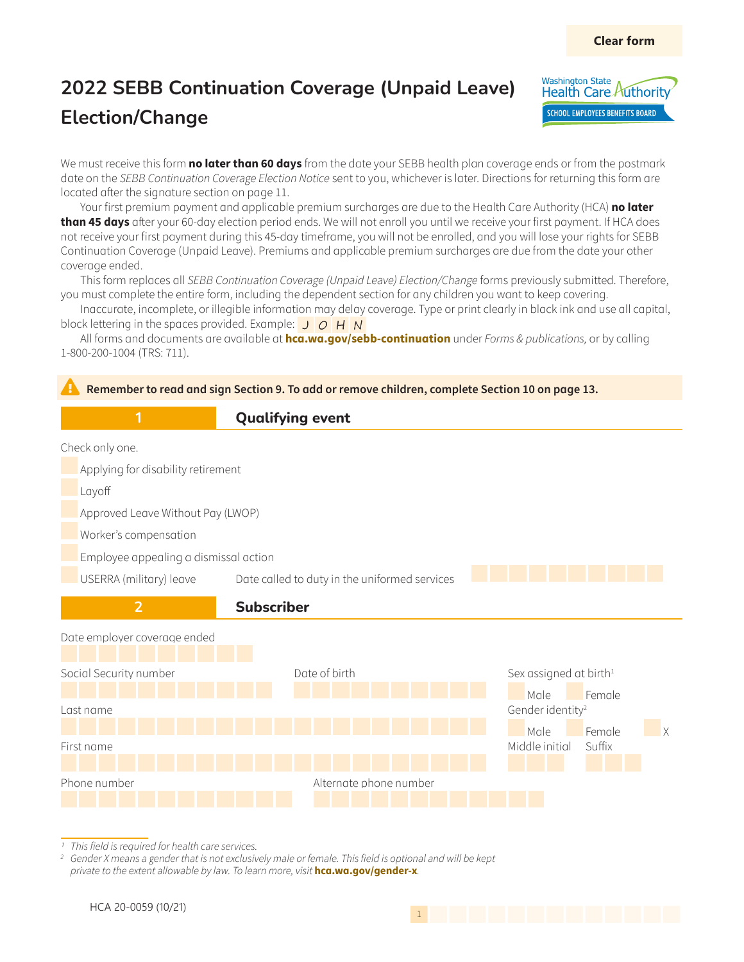

We must receive this form **no later than 60 days** from the date your SEBB health plan coverage ends or from the postmark date on the SEBB Continuation Coverage Election Notice sent to you, whichever is later. Directions for returning this form are located after the signature section on page 11.

Your first premium payment and applicable premium surcharges are due to the Health Care Authority (HCA) **no later than 45 days** after your 60-day election period ends. We will not enroll you until we receive your first payment. If HCA does not receive your first payment during this 45-day timeframe, you will not be enrolled, and you will lose your rights for SEBB Continuation Coverage (Unpaid Leave). Premiums and applicable premium surcharges are due from the date your other coverage ended.

This form replaces all SEBB Continuation Coverage (Unpaid Leave) Election/Change forms previously submitted. Therefore, you must complete the entire form, including the dependent section for any children you want to keep covering.

Inaccurate, incomplete, or illegible information may delay coverage. Type or print clearly in black ink and use all capital, block lettering in the spaces provided. Example:  $J \overline{Q} H N$ 

All forms and documents are available at **[hca.wa.gov/sebb-continuation](http://hca.wa.gov/sebb-continuation)** under Forms & publications, or by calling 1-800-200-1004 (TRS: 711).



1 This field is required for health care services.

*2* Gender X means a gender that is not exclusively male or female. This field is optional and will be kept private to the extent allowable by law. To learn more, visit **hca.wa.gov/gender-x**.

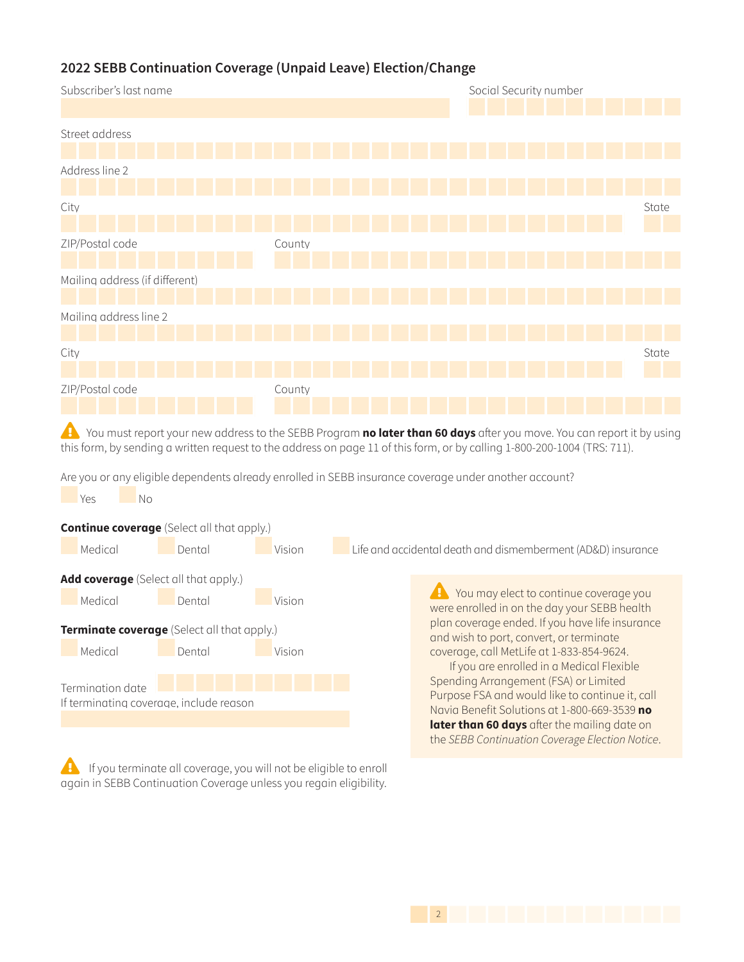

Are you or any eligible dependents already enrolled in SEBB insurance coverage under another account?



 $\overline{a}$  If you terminate all coverage, you will not be eligible to enroll again in SEBB Continuation Coverage unless you regain eligibility.

 $\sqrt{1}$  You may elect to continue coverage you were enrolled in on the day your SEBB health plan coverage ended. If you have life insurance and wish to port, convert, or terminate coverage, call MetLife at 1-833-854-9624.

Spending Arrangement (FSA) or Limited Purpose FSA and would like to continue it, call Navia Benefit Solutions at 1-800-669-3539 **no later than 60 days** after the mailing date on the SEBB Continuation Coverage Election Notice.

1422 | 1422 | 1422 | 1422 | 1422 | 1422 | 1422 | 1422 | 1422 | 1422 | 1422 | 1422 | 1422 | 1422 | 1422 | 1422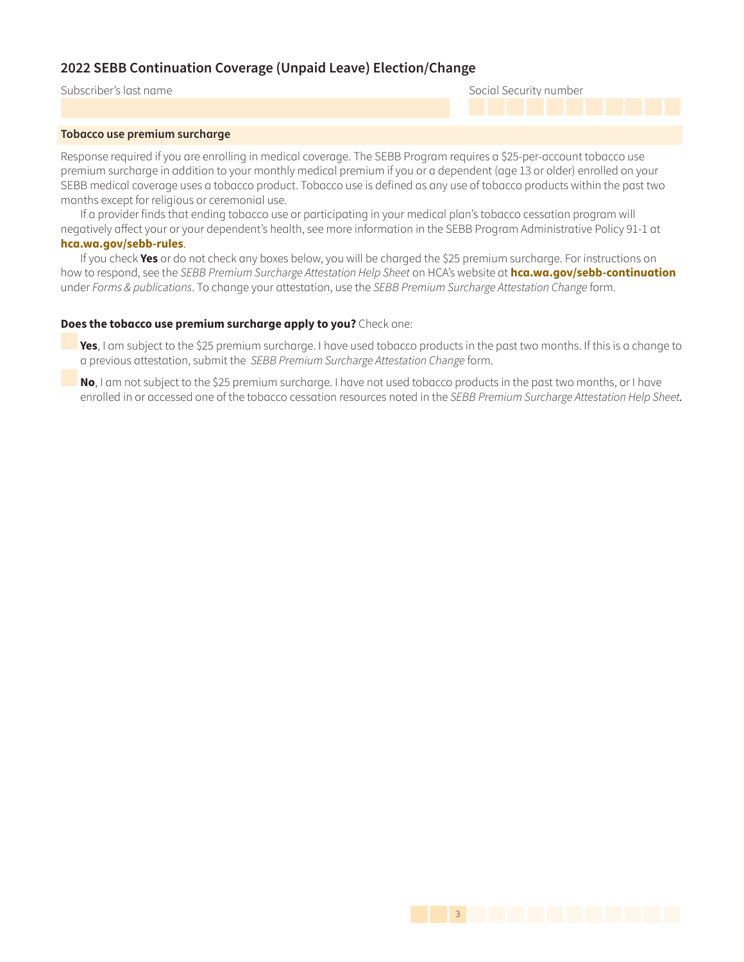### Subscriber's last name Social Security number

#### **Tobacco use premium surcharge**

Response required if you are enrolling in medical coverage. The SEBB Program requires a \$25-per-account tobacco use premium surcharge in addition to your monthly medical premium if you or a dependent (age 13 or older) enrolled on your SEBB medical coverage uses a tobacco product. Tobacco use is defined as any use of tobacco products within the past two months except for religious or ceremonial use.

If a provider finds that ending tobacco use or participating in your medical plan's tobacco cessation program will negatively affect your or your dependent's health, see more information in the SEBB Program Administrative Policy 91-1 at **[hca.wa.gov/sebb-rules](http://hca.wa.gov/sebb-rules)**.

If you check **Yes** or do not check any boxes below, you will be charged the \$25 premium surcharge. For instructions on how to respond, see the SEBB Premium Surcharge Attestation Help Sheet on HCA's website at **[hca.wa.gov/sebb-continuation](http://hca.wa.gov/sebb-continuation)** under Forms & publications. To change your attestation, use the SEBB Premium Surcharge Attestation Change form.

#### **Does the tobacco use premium surcharge apply to you?** Check one:

**Yes**, I am subject to the \$25 premium surcharge. I have used tobacco products in the past two months. If this is a change to a previous attestation, submit the SEBB Premium Surcharge Attestation Change form.

**No**, I am not subject to the \$25 premium surcharge. I have not used tobacco products in the past two months, or I have enrolled in or accessed one of the tobacco cessation resources noted in the SEBB Premium Surcharge Attestation Help Sheet*.*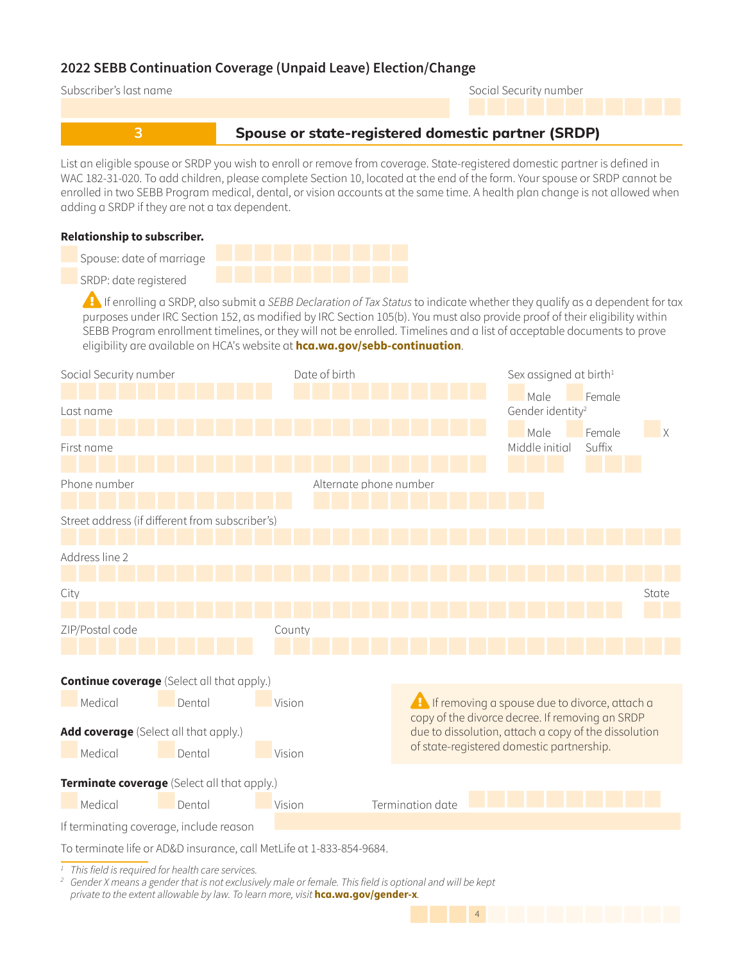

purposes under IRC Section 152, as modified by IRC Section 105(b). You must also provide proof of their eligibility within SEBB Program enrollment timelines, or they will not be enrolled. Timelines and a list of acceptable documents to prove eligibility are available on HCA's website at **[hca.wa.gov/sebb-continuation](http://hca.wa.gov/sebb-continuation)**.



144 | 144 | 144 | 145 | 146 | 147 | 148 | 149 | 149 | 149 | 149 | 149 | 149 | 149 | 149 | 149 | 149 | 149 | 14

*1* This field is required for health care services.

*2* Gender X means a gender that is not exclusively male or female. This field is optional and will be kept private to the extent allowable by law. To learn more, visit **hca.wa.gov/gender-x**.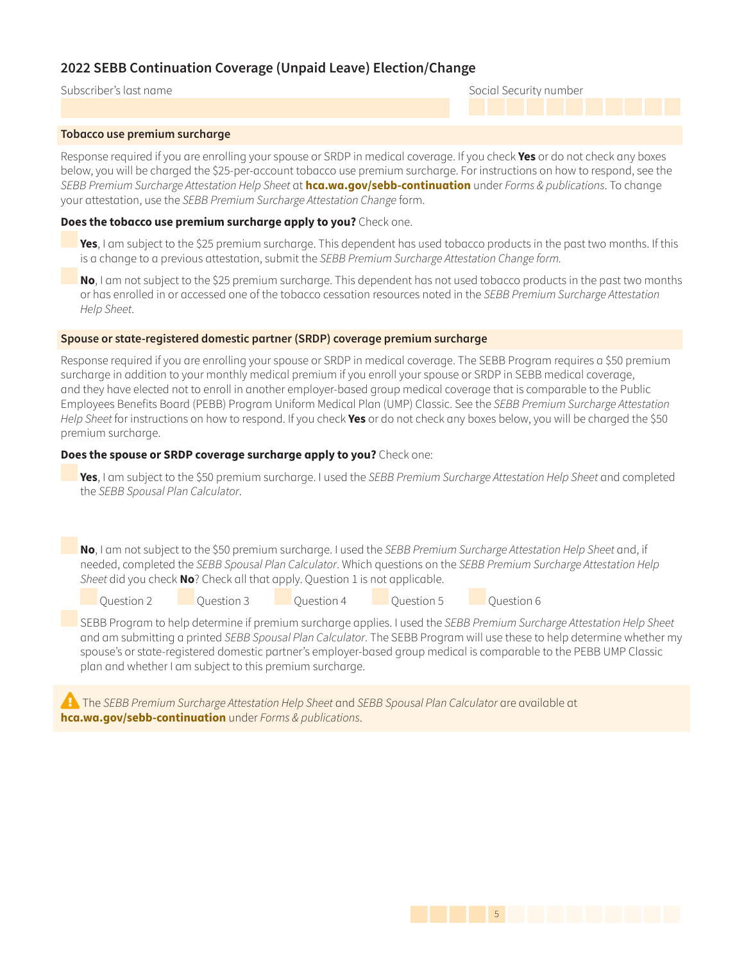Subscriber's last name Social Security number

#### **Tobacco use premium surcharge**

Response required if you are enrolling your spouse or SRDP in medical coverage. If you check **Yes** or do not check any boxes below, you will be charged the \$25-per-account tobacco use premium surcharge. For instructions on how to respond, see the SEBB Premium Surcharge Attestation Help Sheet at **[hca.wa.gov/sebb-continuation](http://hca.wa.gov/sebb-continuation)** under Forms & publications. To change your attestation, use the SEBB Premium Surcharge Attestation Change form.

### **Does the tobacco use premium surcharge apply to you?** Check one.

**Yes**, I am subject to the \$25 premium surcharge. This dependent has used tobacco products in the past two months. If this is a change to a previous attestation, submit the SEBB Premium Surcharge Attestation Change form.

**No**, I am not subject to the \$25 premium surcharge. This dependent has not used tobacco products in the past two months or has enrolled in or accessed one of the tobacco cessation resources noted in the SEBB Premium Surcharge Attestation Help Sheet.

#### **Spouse or state-registered domestic partner (SRDP) coverage premium surcharge**

Response required if you are enrolling your spouse or SRDP in medical coverage. The SEBB Program requires a \$50 premium surcharge in addition to your monthly medical premium if you enroll your spouse or SRDP in SEBB medical coverage, and they have elected not to enroll in another employer-based group medical coverage that is comparable to the Public Employees Benefits Board (PEBB) Program Uniform Medical Plan (UMP) Classic. See the SEBB Premium Surcharge Attestation Help Sheet for instructions on how to respond. If you check **Yes** or do not check any boxes below, you will be charged the \$50 premium surcharge.

### **Does the spouse or SRDP coverage surcharge apply to you?** Check one:

**Yes**, I am subject to the \$50 premium surcharge. I used the SEBB Premium Surcharge Attestation Help Sheet and completed the SEBB Spousal Plan Calculator.

**No**, I am not subject to the \$50 premium surcharge. I used the SEBB Premium Surcharge Attestation Help Sheet and, if needed, completed the SEBB Spousal Plan Calculator. Which questions on the SEBB Premium Surcharge Attestation Help Sheet did you check **No**? Check all that apply. Question 1 is not applicable.

Question 2 Question 3 Question 4 Question 5 Question 6

SEBB Program to help determine if premium surcharge applies. I used the SEBB Premium Surcharge Attestation Help Sheet and am submitting a printed SEBB Spousal Plan Calculator. The SEBB Program will use these to help determine whether my spouse's or state-registered domestic partner's employer-based group medical is comparable to the PEBB UMP Classic plan and whether I am subject to this premium surcharge.

The SEBB Premium Surcharge Attestation Help Sheet and SEBB Spousal Plan Calculator are available at **[hca.wa.gov/sebb-continuation](http://hca.wa.gov/sebb-continuation)** under Forms & publications.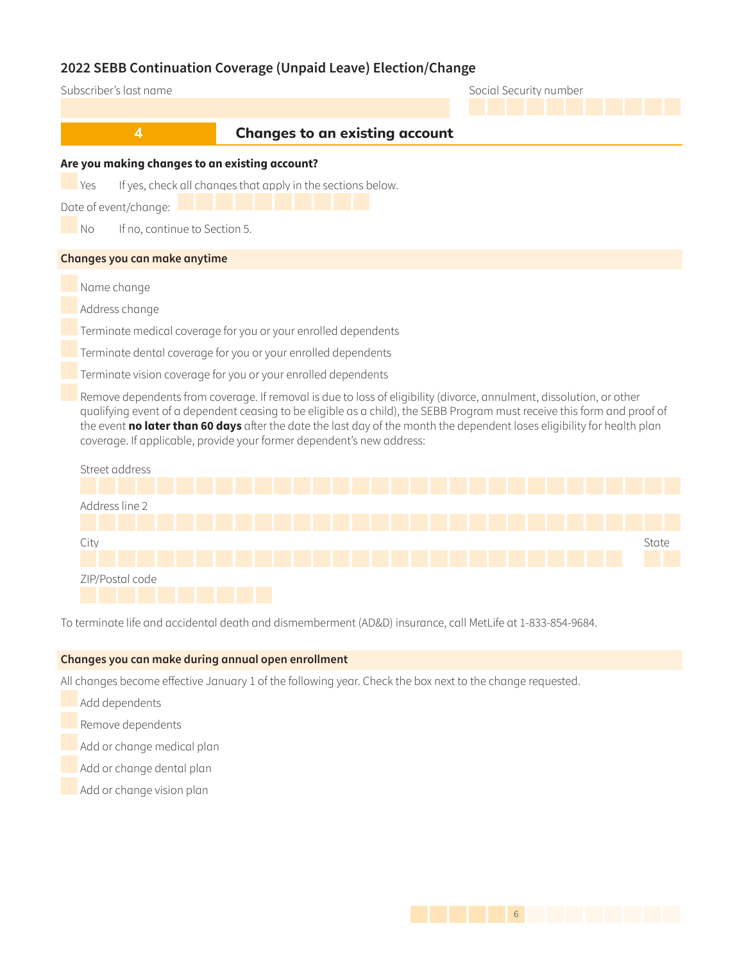| Subscriber's last name                                                                                                                                                                                                                                                                                                                                                                                                                                |                                                                |  | Social Security number |  |  |  |  |
|-------------------------------------------------------------------------------------------------------------------------------------------------------------------------------------------------------------------------------------------------------------------------------------------------------------------------------------------------------------------------------------------------------------------------------------------------------|----------------------------------------------------------------|--|------------------------|--|--|--|--|
|                                                                                                                                                                                                                                                                                                                                                                                                                                                       |                                                                |  |                        |  |  |  |  |
| $\overline{\mathbf{4}}$                                                                                                                                                                                                                                                                                                                                                                                                                               | <b>Changes to an existing account</b>                          |  |                        |  |  |  |  |
| Are you making changes to an existing account?                                                                                                                                                                                                                                                                                                                                                                                                        |                                                                |  |                        |  |  |  |  |
| <b>Yes</b><br>Date of event/change:<br>If no, continue to Section 5.<br>N <sub>o</sub>                                                                                                                                                                                                                                                                                                                                                                | If yes, check all changes that apply in the sections below.    |  |                        |  |  |  |  |
| Changes you can make anytime                                                                                                                                                                                                                                                                                                                                                                                                                          |                                                                |  |                        |  |  |  |  |
| Name change                                                                                                                                                                                                                                                                                                                                                                                                                                           |                                                                |  |                        |  |  |  |  |
| Address change                                                                                                                                                                                                                                                                                                                                                                                                                                        |                                                                |  |                        |  |  |  |  |
|                                                                                                                                                                                                                                                                                                                                                                                                                                                       | Terminate medical coverage for you or your enrolled dependents |  |                        |  |  |  |  |
| Terminate dental coverage for you or your enrolled dependents                                                                                                                                                                                                                                                                                                                                                                                         |                                                                |  |                        |  |  |  |  |
|                                                                                                                                                                                                                                                                                                                                                                                                                                                       | Terminate vision coverage for you or your enrolled dependents  |  |                        |  |  |  |  |
| Remove dependents from coverage. If removal is due to loss of eligibility (divorce, annulment, dissolution, or other<br>qualifying event of a dependent ceasing to be eligible as a child), the SEBB Program must receive this form and proof of<br>the event no later than 60 days after the date the last day of the month the dependent loses eligibility for health plan<br>coverage. If applicable, provide your former dependent's new address: |                                                                |  |                        |  |  |  |  |
| Street address                                                                                                                                                                                                                                                                                                                                                                                                                                        |                                                                |  |                        |  |  |  |  |
| Address line 2                                                                                                                                                                                                                                                                                                                                                                                                                                        |                                                                |  |                        |  |  |  |  |
| City                                                                                                                                                                                                                                                                                                                                                                                                                                                  |                                                                |  | State                  |  |  |  |  |
| ZIP/Postal code                                                                                                                                                                                                                                                                                                                                                                                                                                       |                                                                |  |                        |  |  |  |  |

To terminate life and accidental death and dismemberment (AD&D) insurance, call MetLife at 1-833-854-9684.

### **Changes you can make during annual open enrollment**

All changes become effective January 1 of the following year. Check the box next to the change requested.

Add dependents

Remove dependents

- Add or change medical plan
- Add or change dental plan
- Add or change vision plan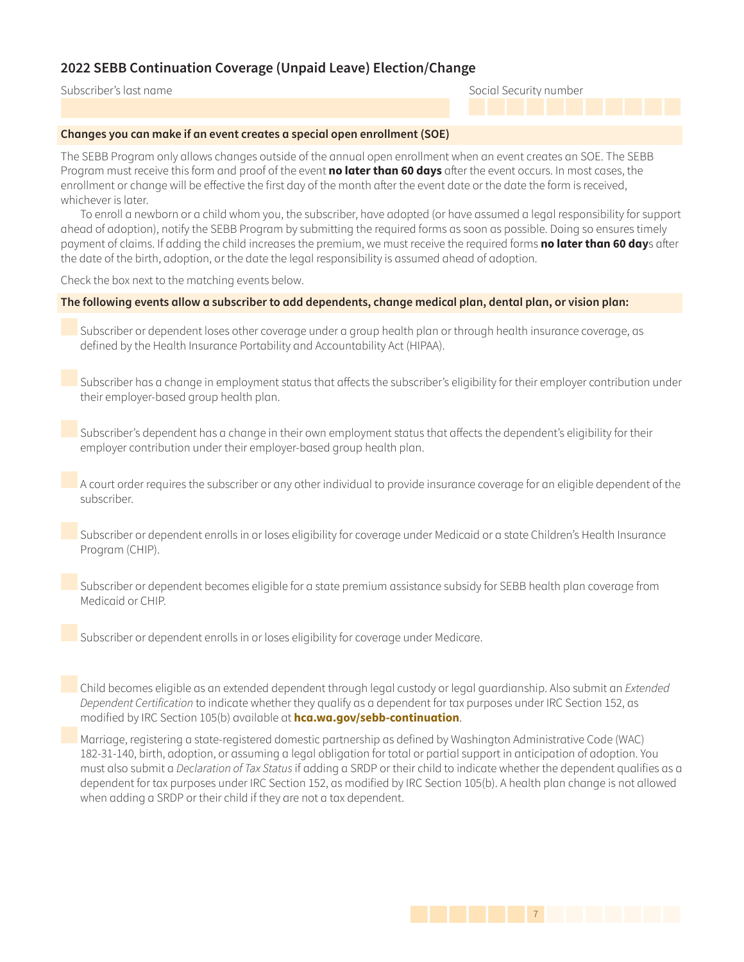Subscriber's last name Social Security number

### **Changes you can make if an event creates a special open enrollment (SOE)**

The SEBB Program only allows changes outside of the annual open enrollment when an event creates an SOE. The SEBB Program must receive this form and proof of the event **no later than 60 days** after the event occurs. In most cases, the enrollment or change will be effective the first day of the month after the event date or the date the form is received, whichever is later.

To enroll a newborn or a child whom you, the subscriber, have adopted (or have assumed a legal responsibility for support ahead of adoption), notify the SEBB Program by submitting the required forms as soon as possible. Doing so ensures timely payment of claims. If adding the child increases the premium, we must receive the required forms **no later than 60 day**s after the date of the birth, adoption, or the date the legal responsibility is assumed ahead of adoption.

Check the box next to the matching events below.

### **The following events allow a subscriber to add dependents, change medical plan, dental plan, or vision plan:**

 Subscriber or dependent loses other coverage under a group health plan or through health insurance coverage, as defined by the Health Insurance Portability and Accountability Act (HIPAA).

 Subscriber has a change in employment status that affects the subscriber's eligibility for their employer contribution under their employer-based group health plan.

 Subscriber's dependent has a change in their own employment status that affects the dependent's eligibility for their employer contribution under their employer-based group health plan.

 A court order requires the subscriber or any other individual to provide insurance coverage for an eligible dependent of the subscriber.

 Subscriber or dependent enrolls in or loses eligibility for coverage under Medicaid or a state Children's Health Insurance Program (CHIP).

 Subscriber or dependent becomes eligible for a state premium assistance subsidy for SEBB health plan coverage from Medicaid or CHIP.

Subscriber or dependent enrolls in or loses eligibility for coverage under Medicare.

Child becomes eligible as an extended dependent through legal custody or legal guardianship. Also submit an Extended Dependent Certification to indicate whether they qualify as a dependent for tax purposes under IRC Section 152, as modified by IRC Section 105(b) available at **[hca.wa.gov/sebb-continuation](http://hca.wa.gov/sebb-continuation)**.

 Marriage, registering a state-registered domestic partnership as defined by Washington Administrative Code (WAC) 182-31-140, birth, adoption, or assuming a legal obligation for total or partial support in anticipation of adoption. You must also submit a Declaration of Tax Status if adding a SRDP or their child to indicate whether the dependent qualifies as a dependent for tax purposes under IRC Section 152, as modified by IRC Section 105(b). A health plan change is not allowed when adding a SRDP or their child if they are not a tax dependent.

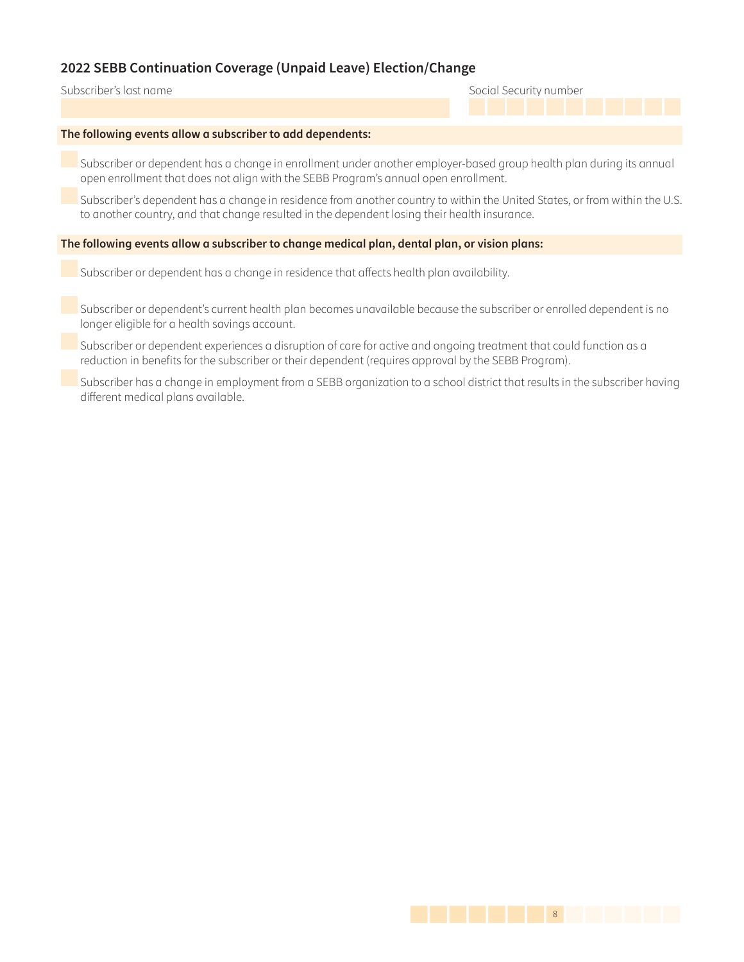### Subscriber's last name Social Security number

#### **The following events allow a subscriber to add dependents:**

 Subscriber or dependent has a change in enrollment under another employer-based group health plan during its annual open enrollment that does not align with the SEBB Program's annual open enrollment.

 Subscriber's dependent has a change in residence from another country to within the United States, or from within the U.S. to another country, and that change resulted in the dependent losing their health insurance.

#### **The following events allow a subscriber to change medical plan, dental plan, or vision plans:**

Subscriber or dependent has a change in residence that affects health plan availability.

 Subscriber or dependent's current health plan becomes unavailable because the subscriber or enrolled dependent is no longer eligible for a health savings account.

 Subscriber or dependent experiences a disruption of care for active and ongoing treatment that could function as a reduction in benefits for the subscriber or their dependent (requires approval by the SEBB Program).

 Subscriber has a change in employment from a SEBB organization to a school district that results in the subscriber having different medical plans available.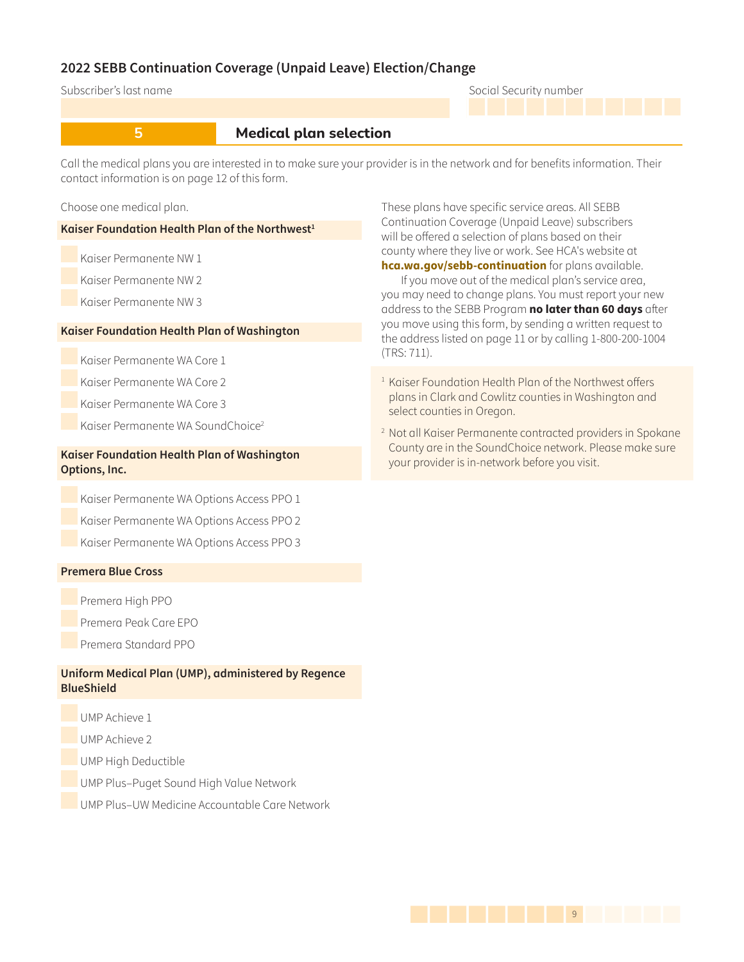### Subscriber's last name Social Security number

### **5 1 Medical plan selection**

Call the medical plans you are interested in to make sure your provider is in the network and for benefits information. Their contact information is on page 12 of this form.

Choose one medical plan.

**Kaiser Foundation Health Plan of the Northwest<sup>1</sup>** 

Kaiser Permanente NW 1

Kaiser Permanente NW 2

Kaiser Permanente NW 3

### **Kaiser Foundation Health Plan of Washington**

Kaiser Permanente WA Core 1

Kaiser Permanente WA Core 2

Kaiser Permanente WA Core 3

Kaiser Permanente WA SoundChoice<sup>2</sup>

### **Kaiser Foundation Health Plan of Washington Options, Inc.**

Kaiser Permanente WA Options Access PPO 1

Kaiser Permanente WA Options Access PPO 2

Kaiser Permanente WA Options Access PPO 3

### **Premera Blue Cross**

Premera High PPO

Premera Peak Care EPO

Premera Standard PPO

### **Uniform Medical Plan (UMP), administered by Regence BlueShield**

UMP Achieve 1

UMP Achieve 2

UMP High Deductible

UMP Plus–Puget Sound High Value Network

UMP Plus–UW Medicine Accountable Care Network

These plans have specific service areas. All SEBB Continuation Coverage (Unpaid Leave) subscribers will be offered a selection of plans based on their county where they live or work. See HCA's website at **[hca.wa.gov/sebb-continuation](http://hca.wa.gov/sebb-continuation)** for plans available. If you move out of the medical plan's service area,

you may need to change plans. You must report your new address to the SEBB Program **no later than 60 days** after you move using this form, by sending a written request to the address listed on page 11 or by calling 1-800-200-1004 (TRS: 711).

- <sup>1</sup> Kaiser Foundation Health Plan of the Northwest offers plans in Clark and Cowlitz counties in Washington and select counties in Oregon.
- 2 Not all Kaiser Permanente contracted providers in Spokane County are in the SoundChoice network. Please make sure your provider is in-network before you visit.

1499 | 1499 | 1499 | 1499 | 1499 | 1499 | 1499 | 1499 | 1499 | 1499 | 1499 | 1499 | 1499 | 1499 | 1499 | 1499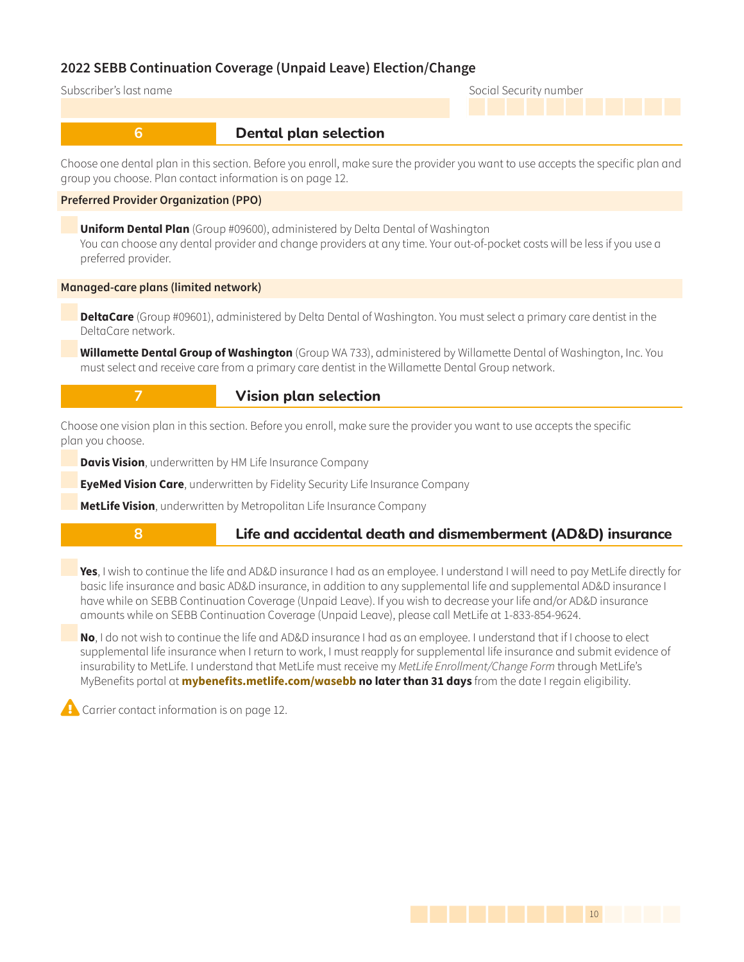```
Subscriber's last name Social Security number
```
### **6** *Dental plan selection*

Choose one dental plan in this section. Before you enroll, make sure the provider you want to use accepts the specific plan and group you choose. Plan contact information is on page 12.

### **Preferred Provider Organization (PPO)**

**Uniform Dental Plan** (Group #09600), administered by Delta Dental of Washington You can choose any dental provider and change providers at any time. Your out-of-pocket costs will be less if you use a preferred provider.

### **Managed-care plans (limited network)**

**DeltaCare** (Group #09601), administered by Delta Dental of Washington. You must select a primary care dentist in the DeltaCare network.

**Willamette Dental Group of Washington** (Group WA 733), administered by Willamette Dental of Washington, Inc. You must select and receive care from a primary care dentist in the Willamette Dental Group network.

### **7** *Nision plan selection*

Choose one vision plan in this section. Before you enroll, make sure the provider you want to use accepts the specific plan you choose.

**Davis Vision**, underwritten by HM Life Insurance Company

**EyeMed Vision Care**, underwritten by Fidelity Security Life Insurance Company

**MetLife Vision**, underwritten by Metropolitan Life Insurance Company

## **8 1 Life and accidental death and dismemberment (AD&D) insurance**

**Yes**, I wish to continue the life and AD&D insurance I had as an employee. I understand I will need to pay MetLife directly for basic life insurance and basic AD&D insurance, in addition to any supplemental life and supplemental AD&D insurance I have while on SEBB Continuation Coverage (Unpaid Leave). If you wish to decrease your life and/or AD&D insurance amounts while on SEBB Continuation Coverage (Unpaid Leave), please call MetLife at 1-833-854-9624.

**No**, I do not wish to continue the life and AD&D insurance I had as an employee. I understand that if I choose to elect supplemental life insurance when I return to work, I must reapply for supplemental life insurance and submit evidence of insurability to MetLife. I understand that MetLife must receive my MetLife Enrollment/Change Form through MetLife's MyBenefits portal at **[mybenefits.metlife.com/wasebb](https://online.metlife.com/edge/web/public/benefits/index?groupNumber=219743) no later than 31 days** from the date I regain eligibility.

Carrier contact information is on page 12.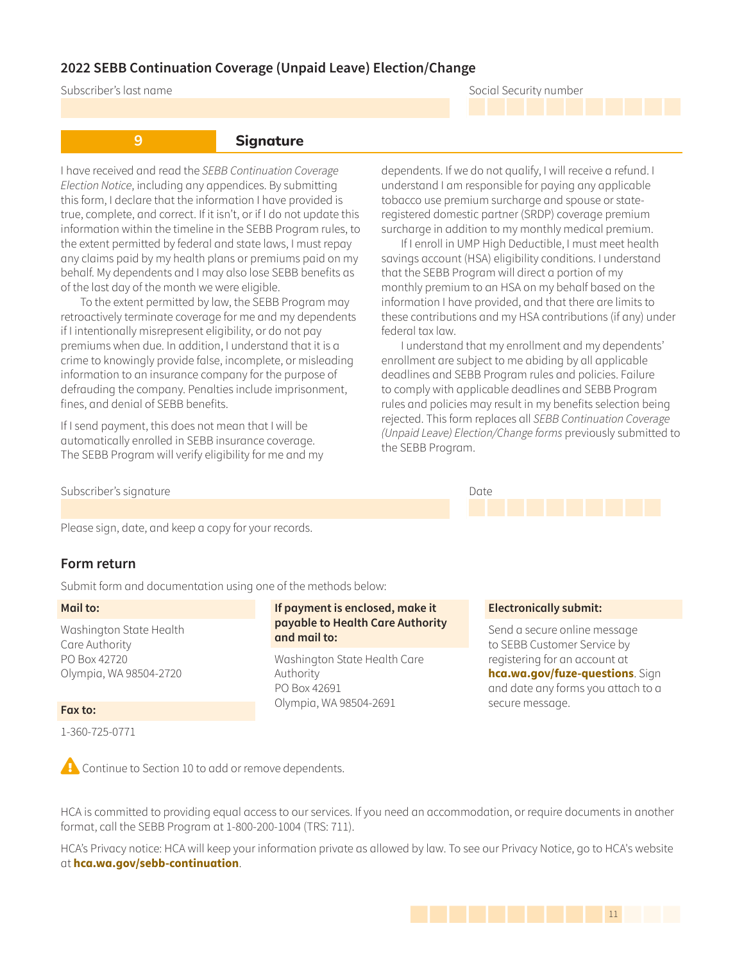Subscriber's last name Social Security number

**9 Signature** 

I have received and read the SEBB Continuation Coverage Election Notice, including any appendices. By submitting this form, I declare that the information I have provided is true, complete, and correct. If it isn't, or if I do not update this information within the timeline in the SEBB Program rules, to the extent permitted by federal and state laws, I must repay any claims paid by my health plans or premiums paid on my behalf. My dependents and I may also lose SEBB benefits as of the last day of the month we were eligible.

To the extent permitted by law, the SEBB Program may retroactively terminate coverage for me and my dependents if I intentionally misrepresent eligibility, or do not pay premiums when due. In addition, I understand that it is a crime to knowingly provide false, incomplete, or misleading information to an insurance company for the purpose of defrauding the company. Penalties include imprisonment, fines, and denial of SEBB benefits.

If I send payment, this does not mean that I will be automatically enrolled in SEBB insurance coverage. The SEBB Program will verify eligibility for me and my dependents. If we do not qualify, I will receive a refund. I understand I am responsible for paying any applicable tobacco use premium surcharge and spouse or stateregistered domestic partner (SRDP) coverage premium surcharge in addition to my monthly medical premium.

If I enroll in UMP High Deductible, I must meet health savings account (HSA) eligibility conditions. I understand that the SEBB Program will direct a portion of my monthly premium to an HSA on my behalf based on the information I have provided, and that there are limits to these contributions and my HSA contributions (if any) under federal tax law.

I understand that my enrollment and my dependents' enrollment are subject to me abiding by all applicable deadlines and SEBB Program rules and policies. Failure to comply with applicable deadlines and SEBB Program rules and policies may result in my benefits selection being rejected. This form replaces all SEBB Continuation Coverage (Unpaid Leave) Election/Change forms previously submitted to the SEBB Program.

#### Subscriber's signature Date of the Date of the Date of the Date of the Date of the Date of the Date of the Date of the Date of the Date of the Date of the Date of the Date of the Date of the Date of the Date of the Date of

Please sign, date, and keep a copy for your records.

### **Form return**

Submit form and documentation using one of the methods below:

#### **Mail to:**

Washington State Health Care Authority PO Box 42720 Olympia, WA 98504-2720

#### **Fax to:**

1-360-725-0771

### **If payment is enclosed, make it payable to Health Care Authority and mail to:**

Washington State Health Care Authority PO Box 42691 Olympia, WA 98504-2691

#### **Electronically submit:**

Send a secure online message to SEBB Customer Service by registering for an account at **[hca.wa.gov/fuze-questions](http://hca.wa.gov/fuze-questions)**. Sign and date any forms you attach to a secure message.

**Continue to Section 10 to add or remove dependents.** 

HCA is committed to providing equal access to our services. If you need an accommodation, or require documents in another format, call the SEBB Program at 1-800-200-1004 (TRS: 711).

HCA's Privacy notice: HCA will keep your information private as allowed by law. To see our Privacy Notice, go to HCA's website at **[hca.wa.gov/sebb-continuation](http://hca.wa.gov/sebb-continuation)**.

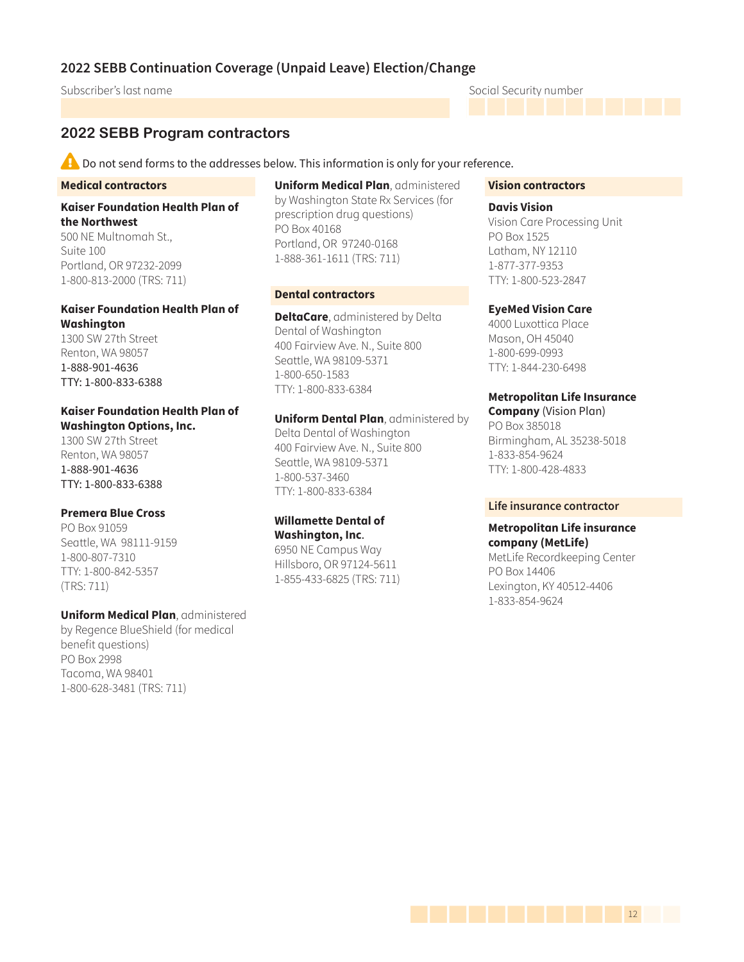Subscriber's last name Social Security number

### **2022 SEBB Program contractors**

 $\blacktriangle$  Do not send forms to the addresses below. This information is only for your reference.

#### **Medical contractors**

**Kaiser Foundation Health Plan of the Northwest**

500 NE Multnomah St., Suite 100 Portland, OR 97232-2099 1-800-813-2000 (TRS: 711)

### **Kaiser Foundation Health Plan of Washington**

1300 SW 27th Street Renton, WA 98057 1-888-901-4636 TTY: 1-800-833-6388

### **Kaiser Foundation Health Plan of Washington Options, Inc.**

1300 SW 27th Street Renton, WA 98057 1-888-901-4636 TTY: 1-800-833-6388

### **Premera Blue Cross**

PO Box 91059 Seattle, WA 98111-9159 1-800-807-7310 TTY: 1-800-842-5357 (TRS: 711)

#### **Uniform Medical Plan**, administered

by Regence BlueShield (for medical benefit questions) PO Box 2998 Tacoma, WA 98401 1-800-628-3481 (TRS: 711)

**Uniform Medical Plan**, administered by Washington State Rx Services (for prescription drug questions) PO Box 40168 Portland, OR 97240-0168 1-888-361-1611 (TRS: 711)

### **Dental contractors**

**DeltaCare**, administered by Delta Dental of Washington 400 Fairview Ave. N., Suite 800 Seattle, WA 98109-5371 1-800-650-1583 TTY: 1-800-833-6384

**Uniform Dental Plan**, administered by Delta Dental of Washington 400 Fairview Ave. N., Suite 800 Seattle, WA 98109-5371 1-800-537-3460 TTY: 1-800-833-6384

### **Willamette Dental of Washington, Inc**.

6950 NE Campus Way Hillsboro, OR 97124-5611 1-855-433-6825 (TRS: 711)

#### **Vision contractors**

**Davis Vision** Vision Care Processing Unit PO Box 1525 Latham, NY 12110 1-877-377-9353 TTY: 1-800-523-2847

### **EyeMed Vision Care**

4000 Luxottica Place Mason, OH 45040 1-800-699-0993 TTY: 1-844-230-6498

### **Metropolitan Life Insurance**

**Company** (Vision Plan) PO Box 385018 Birmingham, AL 35238-5018 1-833-854-9624 TTY: 1-800-428-4833

#### **Life insurance contractor**

### **Metropolitan Life insurance company (MetLife)**

MetLife Recordkeeping Center PO Box 14406 Lexington, KY 40512-4406 1-833-854-9624

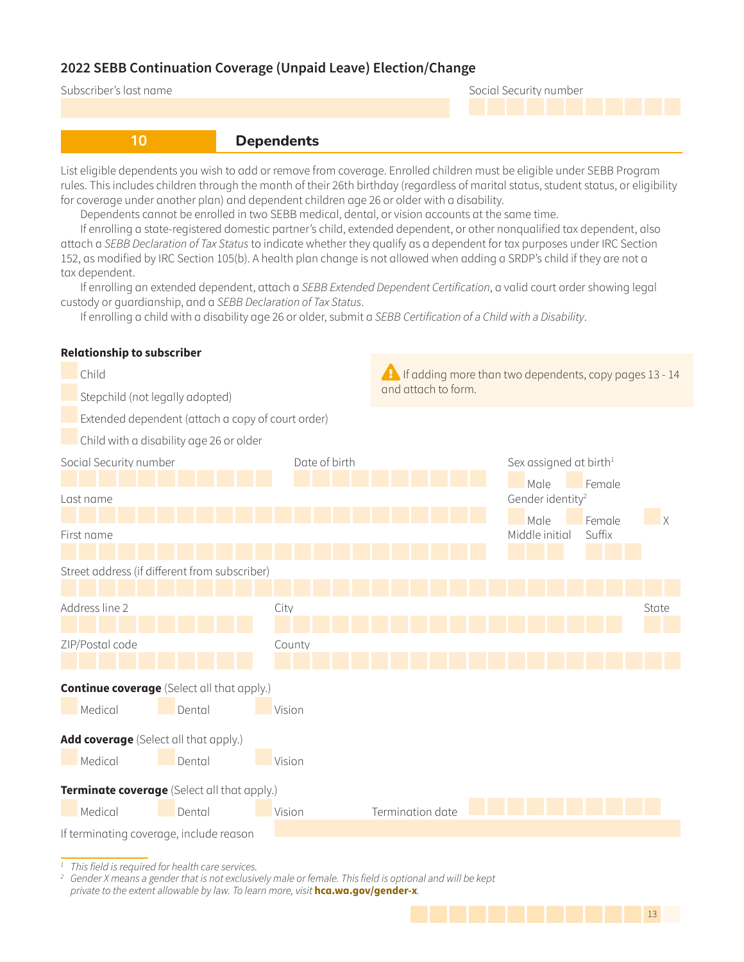### Subscriber's last name Social Security number

<u>1414 | 1414 | 1425 | 1436 | 1336 | 1336 | 1336 | 1336 | 1336 | 1336 | 1336 | 1336 | 1336 | 1336 | 1336 | 1336 </u>



**10 Dependents** 

List eligible dependents you wish to add or remove from coverage. Enrolled children must be eligible under SEBB Program rules. This includes children through the month of their 26th birthday (regardless of marital status, student status, or eligibility for coverage under another plan) and dependent children age 26 or older with a disability.

Dependents cannot be enrolled in two SEBB medical, dental, or vision accounts at the same time.

If enrolling a state-registered domestic partner's child, extended dependent, or other nonqualified tax dependent, also attach a SEBB Declaration of Tax Status to indicate whether they qualify as a dependent for tax purposes under IRC Section 152, as modified by IRC Section 105(b). A health plan change is not allowed when adding a SRDP's child if they are not a tax dependent.

If enrolling an extended dependent, attach a SEBB Extended Dependent Certification, a valid court order showing legal custody or guardianship, and a SEBB Declaration of Tax Status.

If enrolling a child with a disability age 26 or older, submit a SEBB Certification of a Child with a Disability.

| Child                                             |        | A If adding more than two dependents, copy pages 13 - 14 |                                                |                                    |              |  |  |  |
|---------------------------------------------------|--------|----------------------------------------------------------|------------------------------------------------|------------------------------------|--------------|--|--|--|
| Stepchild (not legally adopted)                   |        | and attach to form.                                      |                                                |                                    |              |  |  |  |
| Extended dependent (attach a copy of court order) |        |                                                          |                                                |                                    |              |  |  |  |
| Child with a disability age 26 or older           |        |                                                          |                                                |                                    |              |  |  |  |
| Social Security number                            |        | Date of birth                                            |                                                | Sex assigned at birth <sup>1</sup> |              |  |  |  |
| Last name                                         |        |                                                          | Male<br>Female<br>Gender identity <sup>2</sup> |                                    |              |  |  |  |
|                                                   |        |                                                          |                                                | Male<br>Female                     | $\mathsf{X}$ |  |  |  |
| First name                                        |        |                                                          |                                                | Suffix<br>Middle initial           |              |  |  |  |
| Street address (if different from subscriber)     |        |                                                          |                                                |                                    |              |  |  |  |
| Address line 2                                    |        | City                                                     |                                                |                                    | State        |  |  |  |
|                                                   |        |                                                          |                                                |                                    |              |  |  |  |
| ZIP/Postal code                                   |        | County                                                   |                                                |                                    |              |  |  |  |
| <b>Continue coverage</b> (Select all that apply.) |        |                                                          |                                                |                                    |              |  |  |  |
| Medical                                           | Dental | Vision                                                   |                                                |                                    |              |  |  |  |
| Add coverage (Select all that apply.)             |        |                                                          |                                                |                                    |              |  |  |  |
| Medical                                           | Dental | Vision                                                   |                                                |                                    |              |  |  |  |
| Terminate coverage (Select all that apply.)       |        |                                                          |                                                |                                    |              |  |  |  |
| Medical                                           | Dental | Vision                                                   | Termination date                               |                                    |              |  |  |  |
| If terminating coverage, include reason           |        |                                                          |                                                |                                    |              |  |  |  |

**Relationship to subscriber**

*1* This field is required for health care services.

*2* Gender X means a gender that is not exclusively male or female. This field is optional and will be kept private to the extent allowable by law. To learn more, visit **hca.wa.gov/gender-x**.